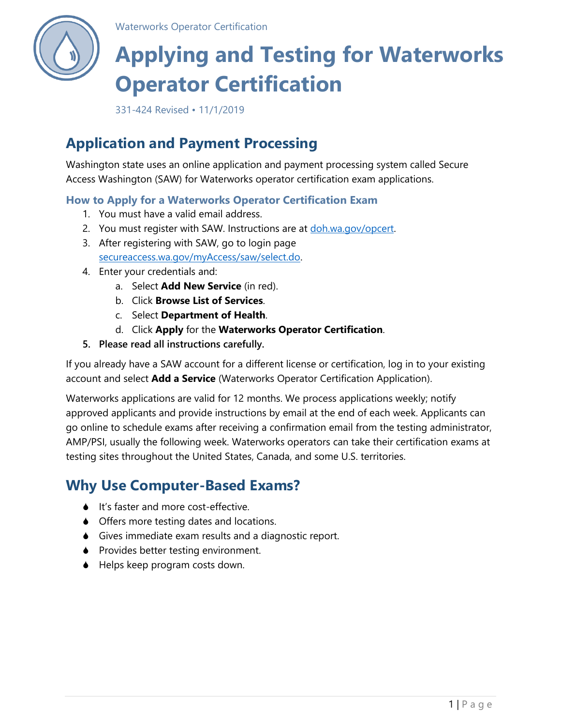

Waterworks Operator Certification

# **Applying and Testing for Waterworks Operator Certification**

331-424 Revised • 11/1/2019

# **Application and Payment Processing**

Washington state uses an online application and payment processing system called Secure Access Washington (SAW) for Waterworks operator certification exam applications.

### **How to Apply for a Waterworks Operator Certification Exam**

- 1. You must have a valid email address.
- 2. You must register with SAW. Instructions are at [doh.wa.gov/opcert.](http://www.doh.wa.gov/opcert)
- 3. After registering with SAW, go to login page [secureaccess.wa.gov/myAccess/saw/select.do.](https://secureaccess.wa.gov/myAccess/saw/select.do)
- 4. Enter your credentials and:
	- a. Select **Add New Service** (in red).
	- b. Click **Browse List of Services**.
	- c. Select **Department of Health**.
	- d. Click **Apply** for the **Waterworks Operator Certification**.
- **5. Please read all instructions carefully.**

If you already have a SAW account for a different license or certification, log in to your existing account and select **Add a Service** (Waterworks Operator Certification Application).

Waterworks applications are valid for 12 months. We process applications weekly; notify approved applicants and provide instructions by email at the end of each week. Applicants can go online to schedule exams after receiving a confirmation email from the testing administrator, AMP/PSI, usually the following week. Waterworks operators can take their certification exams at testing sites throughout the United States, Canada, and some U.S. territories.

# **Why Use Computer-Based Exams?**

- It's faster and more cost-effective.
- ♦ Offers more testing dates and locations.
- Gives immediate exam results and a diagnostic report.
- ♦ Provides better testing environment.
- ◆ Helps keep program costs down.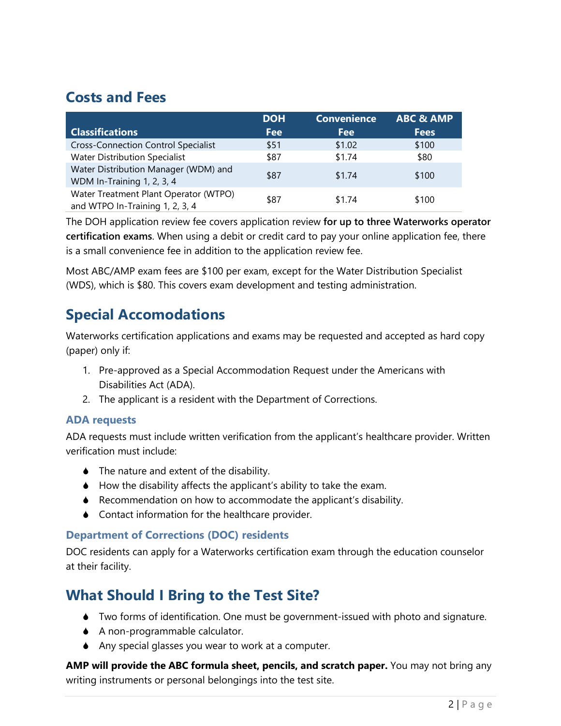### **Costs and Fees**

|                                                                          | <b>DOH</b> | <b>Convenience</b> | <b>ABC &amp; AMP</b> |
|--------------------------------------------------------------------------|------------|--------------------|----------------------|
| <b>Classifications</b>                                                   | <b>Fee</b> | Fee                | <b>Fees</b>          |
| <b>Cross-Connection Control Specialist</b>                               | \$51       | \$1.02             | \$100                |
| <b>Water Distribution Specialist</b>                                     | \$87       | \$1.74             | \$80                 |
| Water Distribution Manager (WDM) and<br>WDM In-Training 1, 2, 3, 4       | \$87       | \$1.74             | \$100                |
| Water Treatment Plant Operator (WTPO)<br>and WTPO In-Training 1, 2, 3, 4 | \$87       | \$1.74             | \$100                |

The DOH application review fee covers application review **for up to three Waterworks operator certification exams**. When using a debit or credit card to pay your online application fee, there is a small convenience fee in addition to the application review fee.

Most ABC/AMP exam fees are \$100 per exam, except for the Water Distribution Specialist (WDS), which is \$80. This covers exam development and testing administration.

### **Special Accomodations**

Waterworks certification applications and exams may be requested and accepted as hard copy (paper) only if:

- 1. Pre-approved as a Special Accommodation Request under the Americans with Disabilities Act (ADA).
- 2. The applicant is a resident with the Department of Corrections.

### **ADA requests**

ADA requests must include written verification from the applicant's healthcare provider. Written verification must include:

- ◆ The nature and extent of the disability.
- $\blacklozenge$  How the disability affects the applicant's ability to take the exam.
- Recommendation on how to accommodate the applicant's disability.
- ♦ Contact information for the healthcare provider.

### **Department of Corrections (DOC) residents**

DOC residents can apply for a Waterworks certification exam through the education counselor at their facility.

## **What Should I Bring to the Test Site?**

- Two forms of identification. One must be government-issued with photo and signature.
- A non-programmable calculator.
- Any special glasses you wear to work at a computer.

**AMP will provide the ABC formula sheet, pencils, and scratch paper.** You may not bring any writing instruments or personal belongings into the test site.